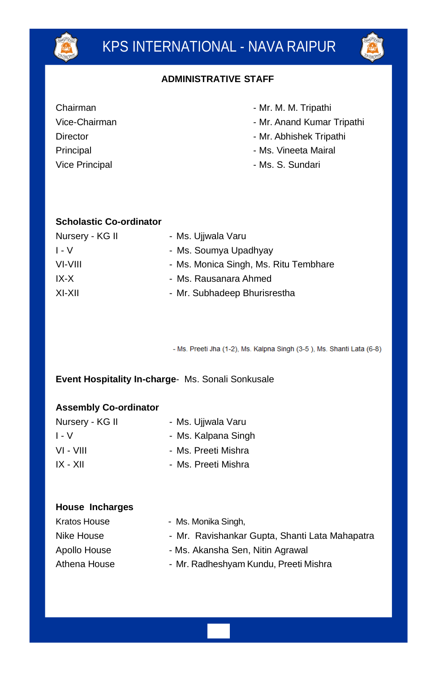

#### **ADMINISTRATIVE STAFF**

| Chairman |
|----------|
|----------|

Vice-Chairman **Director** Principal Vice Principal

- Mr. M. M. Tripathi
- Mr. Anand Kumar Tripathi
- Mr. Abhishek Tripathi
- Ms. Vineeta Mairal
- Ms. S. Sundari

#### **Scholastic Co-ordinator**

| Nursery - KG II | - Ms. Ujiwala Varu                    |
|-----------------|---------------------------------------|
| $I - V$         | - Ms. Soumya Upadhyay                 |
| VI-VIII         | - Ms. Monica Singh, Ms. Ritu Tembhare |
| IX-X            | - Ms. Rausanara Ahmed                 |
| XI-XII          | - Mr. Subhadeep Bhurisrestha          |

- Ms. Preeti Jha (1-2), Ms. Kalpna Singh (3-5), Ms. Shanti Lata (6-8)

**Event Hospitality In-charge**- Ms. Sonali Sonkusale

#### **Assembly Co-ordinator**

| Nursery - KG II | - Ms. Ujiwala Varu  |
|-----------------|---------------------|
| $I - V$         | - Ms. Kalpana Singh |
| VI - VIII       | - Ms. Preeti Mishra |
| IX - XII        | - Ms. Preeti Mishra |

#### **House Incharges**

| Kratos House | - Ms. Monika Singh,                            |
|--------------|------------------------------------------------|
| Nike House   | - Mr. Ravishankar Gupta, Shanti Lata Mahapatra |
| Apollo House | - Ms. Akansha Sen, Nitin Agrawal               |
| Athena House | - Mr. Radheshyam Kundu, Preeti Mishra          |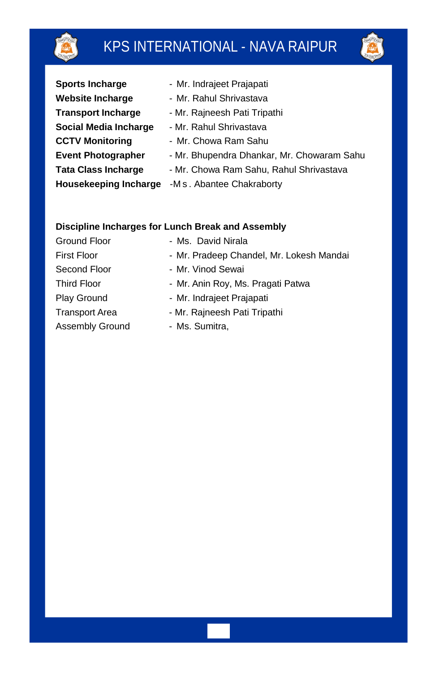

# KPS INTERNATIONAL - NAVA RAIPUR



| <b>Sports Incharge</b>     | - Mr. Indrajeet Prajapati                  |
|----------------------------|--------------------------------------------|
| <b>Website Incharge</b>    | - Mr. Rahul Shrivastava                    |
| <b>Transport Incharge</b>  | - Mr. Rajneesh Pati Tripathi               |
| Social Media Incharge      | - Mr. Rahul Shrivastava                    |
| <b>CCTV Monitoring</b>     | - Mr. Chowa Ram Sahu                       |
| <b>Event Photographer</b>  | - Mr. Bhupendra Dhankar, Mr. Chowaram Sahu |
| <b>Tata Class Incharge</b> | - Mr. Chowa Ram Sahu, Rahul Shrivastava    |
| Housekeeping Incharge      | -M s. Abantee Chakraborty                  |
|                            |                                            |

### **Discipline Incharges for Lunch Break and Assembly**

| Ground Floor          | - Ms. David Nirala                       |  |  |
|-----------------------|------------------------------------------|--|--|
| <b>First Floor</b>    | - Mr. Pradeep Chandel, Mr. Lokesh Mandai |  |  |
| Second Floor          | - Mr. Vinod Sewai                        |  |  |
| <b>Third Floor</b>    | - Mr. Anin Roy, Ms. Pragati Patwa        |  |  |
| Play Ground           | - Mr. Indrajeet Prajapati                |  |  |
| <b>Transport Area</b> | - Mr. Raineesh Pati Tripathi             |  |  |
| Assembly Ground       | - Ms. Sumitra,                           |  |  |
|                       |                                          |  |  |